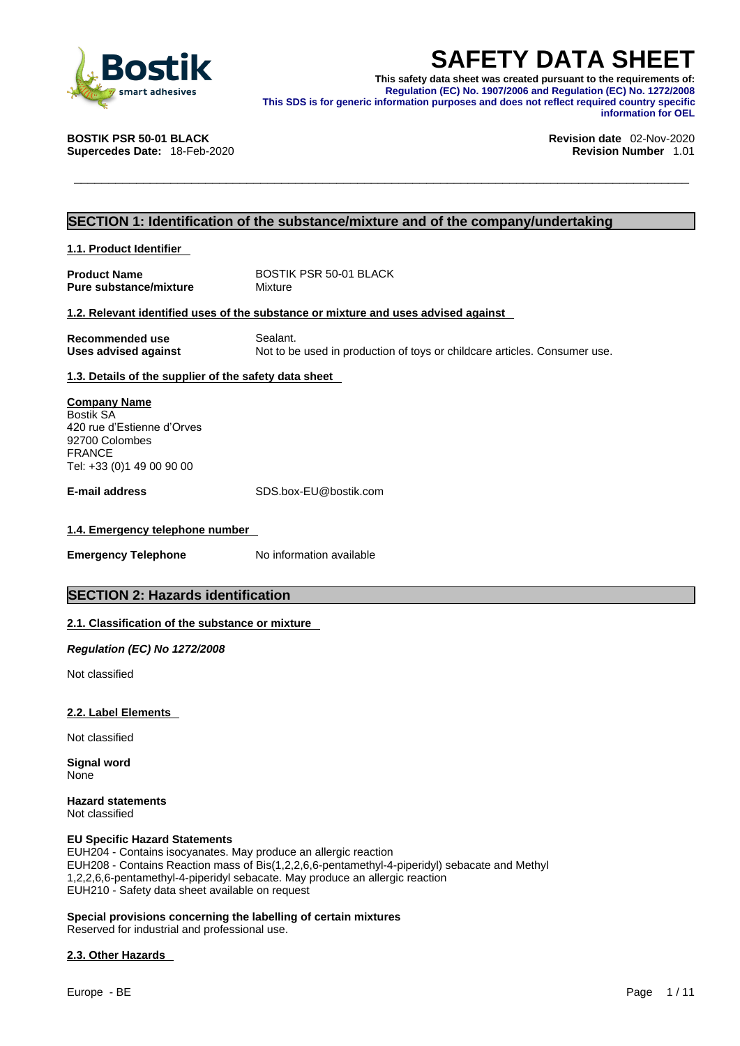

**SAFETY DATA SHEET**<br>
This safety data sheet was created pursuant to the requirements of:<br>
Regulation (EC) No. 1907/2006 and Regulation (EC) No. 1272/2008<br>
This SDS is for generic information purposes and does not reflect r **This safety data sheet was created pursuant to the requirements of: Regulation (EC) No. 1907/2006 and Regulation (EC) No. 1272/2008 This SDS is for generic information purposes and does not reflect required country specific information for OEL** 

**Supercedes Date: 18-Feb-2020** 

**BOSTIK PSR 50-01 BLACK Revision date** 02-Nov-2020

# **SECTION 1: Identification of the substance/mixture and of the company/undertaking**

**1.1. Product Identifier** 

**Product Name** BOSTIK PSR 50-01 BLACK<br> **Pure substance/mixture** Mixture **Pure substance/mixture** 

# **1.2. Relevant identified uses of the substance or mixture and uses advised against**

**Recommended use** Sealant. **Uses advised against** Not to be used in production of toys or childcare articles. Consumer use.

# **1.3. Details of the supplier of the safety data sheet**

**Company Name** Bostik SA 420 rue d'Estienne d'Orves 92700 Colombes FRANCE Tel: +33 (0)1 49 00 90 00

**E-mail address** SDS.box-EU@bostik.com

# **1.4. Emergency telephone number**

**Emergency Telephone** No information available

# **SECTION 2: Hazards identification**

## **2.1. Classification of the substance or mixture**

*Regulation (EC) No 1272/2008* 

Not classified

## **2.2. Label Elements**

Not classified

**Signal word** None

**Hazard statements** Not classified

## **EU Specific Hazard Statements**

EUH204 - Contains isocyanates. May produce an allergic reaction EUH208 - Contains Reaction mass of Bis(1,2,2,6,6-pentamethyl-4-piperidyl) sebacate and Methyl 1,2,2,6,6-pentamethyl-4-piperidyl sebacate. May produce an allergic reaction EUH210 - Safety data sheet available on request

# **Special provisions concerning the labelling of certain mixtures**

Reserved for industrial and professional use.

## **2.3. Other Hazards**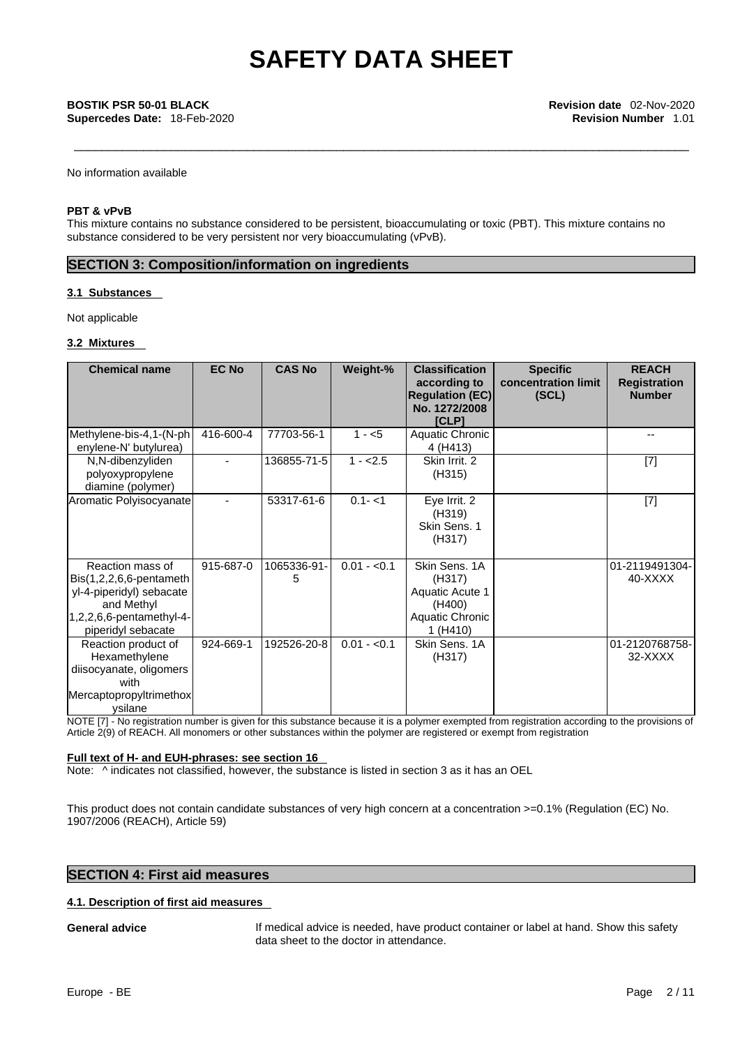**Supercedes Date:** 18-Feb-2020 **Revision Number** 1.01

No information available

# **PBT & vPvB**

This mixture contains no substance considered to be persistent, bioaccumulating or toxic (PBT). This mixture contains no substance considered to be very persistent nor very bioaccumulating (vPvB).

# **SECTION 3: Composition/information on ingredients**

# **3.1 Substances**

Not applicable

## **3.2 Mixtures**

| <b>Chemical name</b>                                                                                                                       | <b>EC No</b> | <b>CAS No</b>    | Weight-%     | <b>Classification</b><br>according to<br><b>Regulation (EC)</b><br>No. 1272/2008<br><b>[CLP]</b> | <b>Specific</b><br>concentration limit<br>(SCL) | <b>REACH</b><br><b>Registration</b><br><b>Number</b> |
|--------------------------------------------------------------------------------------------------------------------------------------------|--------------|------------------|--------------|--------------------------------------------------------------------------------------------------|-------------------------------------------------|------------------------------------------------------|
| Methylene-bis-4,1-(N-ph<br>enylene-N' butylurea)                                                                                           | 416-600-4    | 77703-56-1       | $1 - 5$      | Aquatic Chronic<br>4 (H413)                                                                      |                                                 | $-$                                                  |
| N,N-dibenzyliden<br>polyoxypropylene<br>diamine (polymer)                                                                                  |              | 136855-71-5      | $1 - 2.5$    | Skin Irrit, 2<br>(H315)                                                                          |                                                 | $[7]$                                                |
| Aromatic Polyisocyanate                                                                                                                    |              | 53317-61-6       | $0.1 - 1$    | Eye Irrit. 2<br>(H319)<br>Skin Sens. 1<br>(H317)                                                 |                                                 | $[7]$                                                |
| Reaction mass of<br>$Bis(1,2,2,6,6$ -pentameth<br>yl-4-piperidyl) sebacate<br>and Methyl<br>1,2,2,6,6-pentamethyl-4-<br>piperidyl sebacate | 915-687-0    | 1065336-91-<br>5 | $0.01 - 0.1$ | Skin Sens. 1A<br>(H317)<br>Aquatic Acute 1<br>(H400)<br>Aquatic Chronic<br>1(H410)               |                                                 | 01-2119491304-<br>40-XXXX                            |
| Reaction product of<br>Hexamethylene<br>diisocyanate, oligomers<br>with<br>Mercaptopropyltrimethox<br>ysilane                              | 924-669-1    | 192526-20-8      | $0.01 - 0.1$ | Skin Sens. 1A<br>(H317)                                                                          |                                                 | 01-2120768758-<br>32-XXXX                            |

NOTE [7] - No registration number is given for this substance because it is a polymer exempted from registration according to the provisions of Article 2(9) of REACH. All monomers or other substances within the polymer are registered or exempt from registration

# **Full text of H- and EUH-phrases: see section 16**

Note:  $\wedge$  indicates not classified, however, the substance is listed in section 3 as it has an OEL

This product does not contain candidate substances of very high concern at a concentration >=0.1% (Regulation (EC) No. 1907/2006 (REACH), Article 59)

# **SECTION 4: First aid measures**

## **4.1. Description of first aid measures**

**General advice** If medical advice is needed, have product container or label at hand. Show this safety data sheet to the doctor in attendance.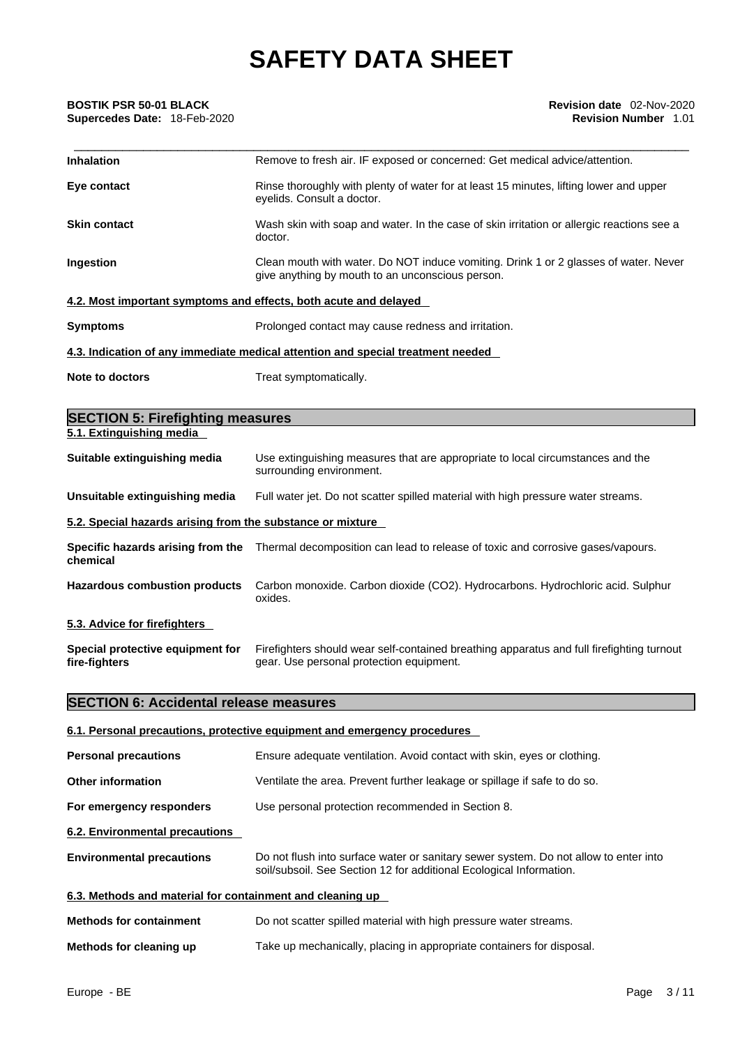# **Supercedes Date:** 18-Feb-2020 **Revision Number** 1.01

| <b>BOSTIK PSR 50-01 BLACK</b><br>Supercedes Date: 18-Feb-2020       | Revision date 02-Nov-2020<br><b>Revision Number 1.01</b>                                                                                 |
|---------------------------------------------------------------------|------------------------------------------------------------------------------------------------------------------------------------------|
| Inhalation                                                          | Remove to fresh air. IF exposed or concerned: Get medical advice/attention.                                                              |
| Eye contact                                                         | Rinse thoroughly with plenty of water for at least 15 minutes, lifting lower and upper<br>eyelids. Consult a doctor.                     |
| <b>Skin contact</b>                                                 | Wash skin with soap and water. In the case of skin irritation or allergic reactions see a<br>doctor.                                     |
| Ingestion                                                           | Clean mouth with water. Do NOT induce vomiting. Drink 1 or 2 glasses of water. Never<br>give anything by mouth to an unconscious person. |
|                                                                     | 4.2. Most important symptoms and effects, both acute and delayed                                                                         |
| Symptoms                                                            | Prolonged contact may cause redness and irritation.                                                                                      |
|                                                                     | 4.3. Indication of any immediate medical attention and special treatment needed                                                          |
| <b>Note to doctors</b>                                              | Treat symptomatically.                                                                                                                   |
|                                                                     |                                                                                                                                          |
| <b>SECTION 5: Firefighting measures</b><br>5.1. Extinguishing media |                                                                                                                                          |
|                                                                     |                                                                                                                                          |
| Suitable extinguishing media                                        | Use extinguishing measures that are appropriate to local circumstances and the<br>surrounding environment.                               |

# **Unsuitable extinguishing media** Full water jet. Do not scatter spilled material with high pressure water streams.

### **5.2. Special hazards arising from the substance or mixture**

| Specific hazards arising from the<br>chemical | Thermal decomposition can lead to release of toxic and corrosive gases/vapours.            |
|-----------------------------------------------|--------------------------------------------------------------------------------------------|
| <b>Hazardous combustion products</b>          | Carbon monoxide. Carbon dioxide (CO2). Hydrocarbons. Hydrochloric acid. Sulphur<br>oxides. |

**5.3. Advice for firefighters** 

**Special protective equipment for fire-fighters** Firefighters should wear self-contained breathing apparatus and full firefighting turnout gear. Use personal protection equipment.

# **SECTION 6: Accidental release measures**

# **6.1. Personal precautions, protective equipment and emergency procedures Personal precautions** Ensure adequate ventilation. Avoid contact with skin, eyes or clothing. **Other information** Ventilate the area. Prevent further leakage or spillage if safe to do so. **For emergency responders** Use personal protection recommended in Section 8. **6.2. Environmental precautions Environmental precautions** Do not flush into surface water or sanitary sewer system. Do not allow to enter into soil/subsoil. See Section 12 for additional Ecological Information. **6.3. Methods and material for containment and cleaning up Methods for containment** Do not scatter spilled material with high pressure water streams. **Methods for cleaning up** Take up mechanically, placing in appropriate containers for disposal.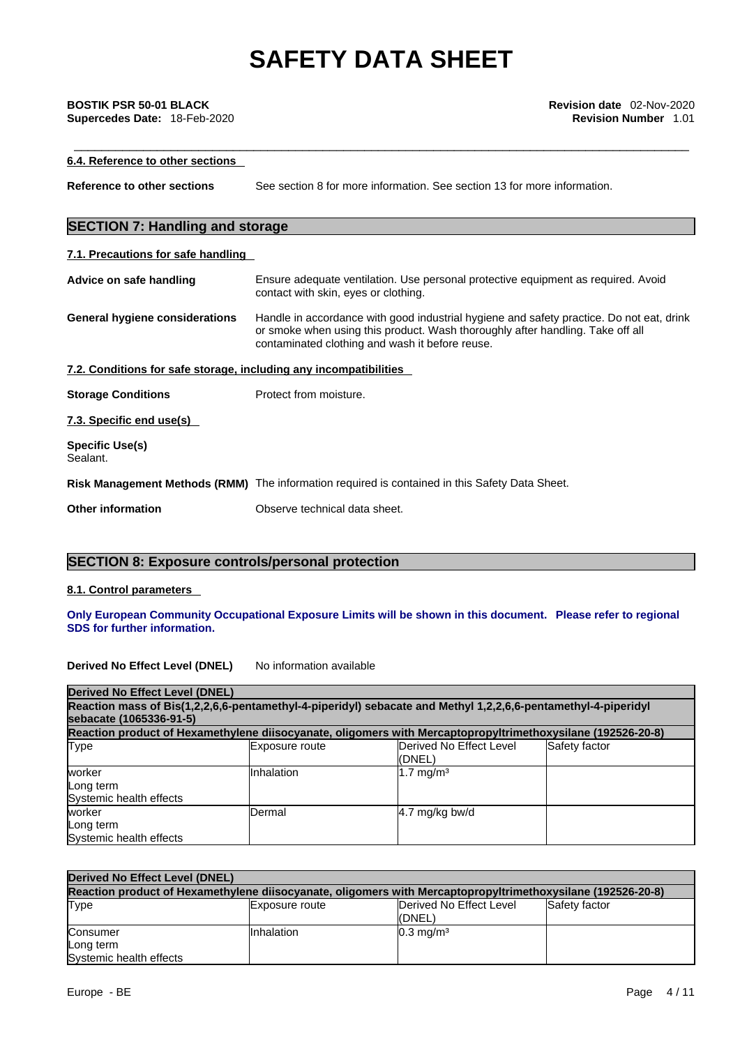## **6.4. Reference to other sections**

**Reference to other sections** See section 8 for more information. See section 13 for more information.

# **SECTION 7: Handling and storage**

# **7.1. Precautions for safe handling**

| Advice on safe handling                                           | Ensure adequate ventilation. Use personal protective equipment as required. Avoid<br>contact with skin, eyes or clothing.                                                                                                     |
|-------------------------------------------------------------------|-------------------------------------------------------------------------------------------------------------------------------------------------------------------------------------------------------------------------------|
| General hygiene considerations                                    | Handle in accordance with good industrial hygiene and safety practice. Do not eat, drink<br>or smoke when using this product. Wash thoroughly after handling. Take off all<br>contaminated clothing and wash it before reuse. |
| 7.2. Conditions for safe storage, including any incompatibilities |                                                                                                                                                                                                                               |
| <b>Storage Conditions</b>                                         | Protect from moisture.                                                                                                                                                                                                        |
| 7.3. Specific end use(s)                                          |                                                                                                                                                                                                                               |
| <b>Specific Use(s)</b><br>Sealant.                                |                                                                                                                                                                                                                               |
|                                                                   | Risk Management Methods (RMM) The information required is contained in this Safety Data Sheet.                                                                                                                                |

**Other information** Observe technical data sheet.

# **SECTION 8: Exposure controls/personal protection**

## **8.1. Control parameters**

## **Only European Community Occupational Exposure Limits will be shown in this document. Please refer to regional SDS for further information.**

## **Derived No Effect Level (DNEL)** No information available

| <b>Derived No Effect Level (DNEL)</b>                                                                                                    |                |                                                                                                             |               |
|------------------------------------------------------------------------------------------------------------------------------------------|----------------|-------------------------------------------------------------------------------------------------------------|---------------|
| Reaction mass of Bis(1,2,2,6,6-pentamethyl-4-piperidyl) sebacate and Methyl 1,2,2,6,6-pentamethyl-4-piperidyl<br>sebacate (1065336-91-5) |                |                                                                                                             |               |
|                                                                                                                                          |                | Reaction product of Hexamethylene diisocyanate, oligomers with Mercaptopropyltrimethoxysilane (192526-20-8) |               |
| <b>Type</b>                                                                                                                              | Exposure route | Derived No Effect Level<br>(DNEL)                                                                           | Safety factor |
| worker<br>Long term<br>Systemic health effects                                                                                           | Inhalation     | $1.7 \text{ mg/m}^3$                                                                                        |               |
| worker<br>Long term<br>Systemic health effects                                                                                           | Dermal         | $4.7$ mg/kg bw/d                                                                                            |               |

| Derived No Effect Level (DNEL)                                                                              |                       |                                   |               |
|-------------------------------------------------------------------------------------------------------------|-----------------------|-----------------------------------|---------------|
| Reaction product of Hexamethylene diisocyanate, oligomers with Mercaptopropyltrimethoxysilane (192526-20-8) |                       |                                   |               |
| Type                                                                                                        | <b>Exposure route</b> | Derived No Effect Level<br>(DNEL) | Safety factor |
| Consumer                                                                                                    | Inhalation            | $0.3 \text{ mg/m}^3$              |               |
| Long term<br>Systemic health effects                                                                        |                       |                                   |               |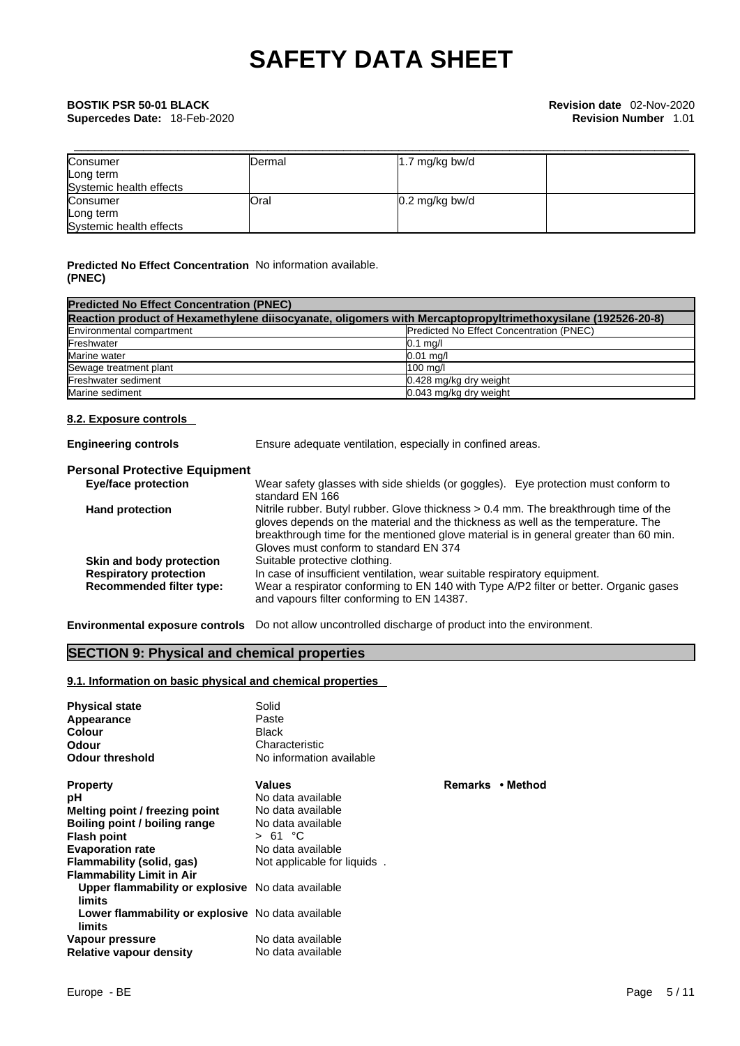| Consumer                | IDermal | $1.7 \text{ mg/kg}$ bw/d |  |
|-------------------------|---------|--------------------------|--|
| Long term               |         |                          |  |
| Systemic health effects |         |                          |  |
| Consumer                | Oral    | $0.2 \text{ mg/kg}$ bw/d |  |
| Long term               |         |                          |  |
| Systemic health effects |         |                          |  |

# **Predicted No Effect Concentration** No information available. **(PNEC)**

| <b>Predicted No Effect Concentration (PNEC)</b>                                                             |                                                 |  |  |
|-------------------------------------------------------------------------------------------------------------|-------------------------------------------------|--|--|
| Reaction product of Hexamethylene diisocyanate, oligomers with Mercaptopropyltrimethoxysilane (192526-20-8) |                                                 |  |  |
| Environmental compartment                                                                                   | <b>Predicted No Effect Concentration (PNEC)</b> |  |  |
| Freshwater                                                                                                  | $0.1$ mg/l                                      |  |  |
| Marine water                                                                                                | $0.01$ ma/                                      |  |  |
| Sewage treatment plant                                                                                      | 100 ma/l                                        |  |  |
| Freshwater sediment                                                                                         | 0.428 mg/kg dry weight                          |  |  |
| Marine sediment                                                                                             | 0.043 mg/kg dry weight                          |  |  |

# **8.2. Exposure controls**

| Ensure adequate ventilation, especially in confined areas.                                                                                                                                                                                                                                                  |
|-------------------------------------------------------------------------------------------------------------------------------------------------------------------------------------------------------------------------------------------------------------------------------------------------------------|
| <b>Personal Protective Equipment</b>                                                                                                                                                                                                                                                                        |
| Wear safety glasses with side shields (or goggles). Eye protection must conform to<br>standard EN 166                                                                                                                                                                                                       |
| Nitrile rubber. Butyl rubber. Glove thickness > 0.4 mm. The breakthrough time of the<br>gloves depends on the material and the thickness as well as the temperature. The<br>breakthrough time for the mentioned glove material is in general greater than 60 min.<br>Gloves must conform to standard EN 374 |
| Suitable protective clothing.                                                                                                                                                                                                                                                                               |
| In case of insufficient ventilation, wear suitable respiratory equipment.<br>Wear a respirator conforming to EN 140 with Type A/P2 filter or better. Organic gases<br>and vapours filter conforming to EN 14387.                                                                                            |
|                                                                                                                                                                                                                                                                                                             |

**Environmental exposure controls** Do not allow uncontrolled discharge of product into the environment.

# **SECTION 9: Physical and chemical properties**

# **9.1. Information on basic physical and chemical properties**

| <b>Physical state</b><br>Appearance<br><b>Colour</b><br>Odour | Solid<br>Paste<br><b>Black</b><br>Characteristic |    |
|---------------------------------------------------------------|--------------------------------------------------|----|
| <b>Odour threshold</b>                                        | No information available                         |    |
| <b>Property</b>                                               | <b>Values</b>                                    | Re |
| рH                                                            | No data available                                |    |
| Melting point / freezing point                                | No data available                                |    |
| Boiling point / boiling range                                 | No data available                                |    |
| <b>Flash point</b>                                            | > 61 °C                                          |    |
| <b>Evaporation rate</b>                                       | No data available                                |    |
| Flammability (solid, gas)                                     | Not applicable for liquids.                      |    |
| <b>Flammability Limit in Air</b>                              |                                                  |    |
| Upper flammability or explosive No data available<br>limits   |                                                  |    |
| Lower flammability or explosive No data available<br>limits   |                                                  |    |
| Vapour pressure                                               | No data available                                |    |
| <b>Relative vapour density</b>                                | No data available                                |    |

**Property Values Remarks • Method**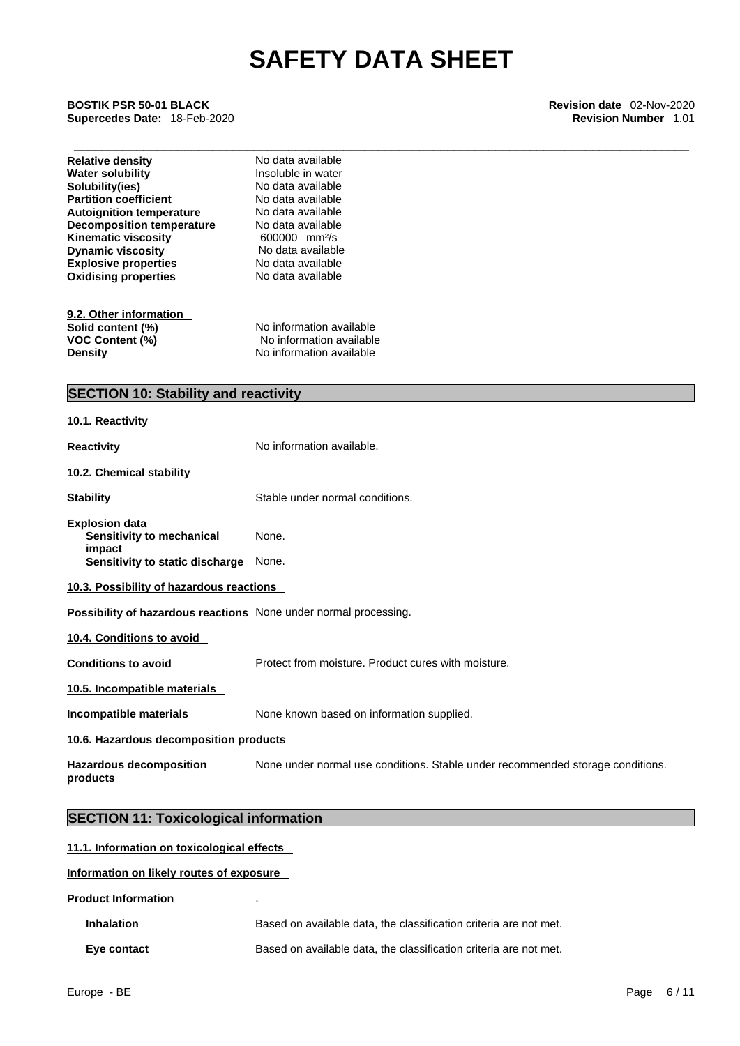\_\_\_\_\_\_\_\_\_\_\_\_\_\_\_\_\_\_\_\_\_\_\_\_\_\_\_\_\_\_\_\_\_\_\_\_\_\_\_\_\_\_\_\_\_\_\_\_\_\_\_\_\_\_\_\_\_\_\_\_\_\_\_\_\_\_\_\_\_\_\_\_\_\_\_\_\_\_\_\_\_\_\_\_\_\_\_\_\_ **BOSTIK PSR 50-01 BLACK Revision date** 02-Nov-2020 **Supercedes Date:** 18-Feb-2020 **Revision Number** 1.01

| <b>Relative density</b><br><b>Water solubility</b><br>Solubility(ies)<br><b>Partition coefficient</b><br><b>Autoignition temperature</b><br><b>Decomposition temperature</b><br>Kinematic viscosity<br><b>Dynamic viscosity</b><br><b>Explosive properties</b><br><b>Oxidising properties</b> | No data available<br>Insoluble in water<br>No data available<br>No data available<br>No data available<br>No data available<br>600000 mm <sup>2</sup> /s<br>No data available<br>No data available<br>No data available |
|-----------------------------------------------------------------------------------------------------------------------------------------------------------------------------------------------------------------------------------------------------------------------------------------------|-------------------------------------------------------------------------------------------------------------------------------------------------------------------------------------------------------------------------|
| 9.2. Other information<br>Solid content (%)<br>VOC Content (%)<br><b>Density</b>                                                                                                                                                                                                              | No information available<br>No information available<br>No information available                                                                                                                                        |
| <b>SECTION 10: Stability and reactivity</b>                                                                                                                                                                                                                                                   |                                                                                                                                                                                                                         |
| 10.1. Reactivity                                                                                                                                                                                                                                                                              |                                                                                                                                                                                                                         |
| <b>Reactivity</b>                                                                                                                                                                                                                                                                             | No information available.                                                                                                                                                                                               |
| 10.2. Chemical stability                                                                                                                                                                                                                                                                      |                                                                                                                                                                                                                         |
| <b>Stability</b>                                                                                                                                                                                                                                                                              | Stable under normal conditions.                                                                                                                                                                                         |
| <b>Explosion data</b><br>Sensitivity to mechanical<br>impact                                                                                                                                                                                                                                  | None.                                                                                                                                                                                                                   |
| Sensitivity to static discharge                                                                                                                                                                                                                                                               | None.                                                                                                                                                                                                                   |
| 10.3. Possibility of hazardous reactions                                                                                                                                                                                                                                                      |                                                                                                                                                                                                                         |
| Possibility of hazardous reactions None under normal processing.                                                                                                                                                                                                                              |                                                                                                                                                                                                                         |
| 10.4. Conditions to avoid                                                                                                                                                                                                                                                                     |                                                                                                                                                                                                                         |
| <b>Conditions to avoid</b>                                                                                                                                                                                                                                                                    | Protect from moisture. Product cures with moisture.                                                                                                                                                                     |
| 10.5. Incompatible materials                                                                                                                                                                                                                                                                  |                                                                                                                                                                                                                         |
| Incompatible materials                                                                                                                                                                                                                                                                        | None known based on information supplied.                                                                                                                                                                               |
| 10.6. Hazardous decomposition products                                                                                                                                                                                                                                                        |                                                                                                                                                                                                                         |
| <b>Hazardous decomposition</b><br>products                                                                                                                                                                                                                                                    | None under normal use conditions. Stable under recommended storage conditions.                                                                                                                                          |

# **SECTION 11: Toxicological information**

| 11.1. Information on toxicological effects |                                                                   |  |
|--------------------------------------------|-------------------------------------------------------------------|--|
| Information on likely routes of exposure   |                                                                   |  |
| <b>Product Information</b>                 |                                                                   |  |
| <b>Inhalation</b>                          | Based on available data, the classification criteria are not met. |  |
| Eye contact                                | Based on available data, the classification criteria are not met. |  |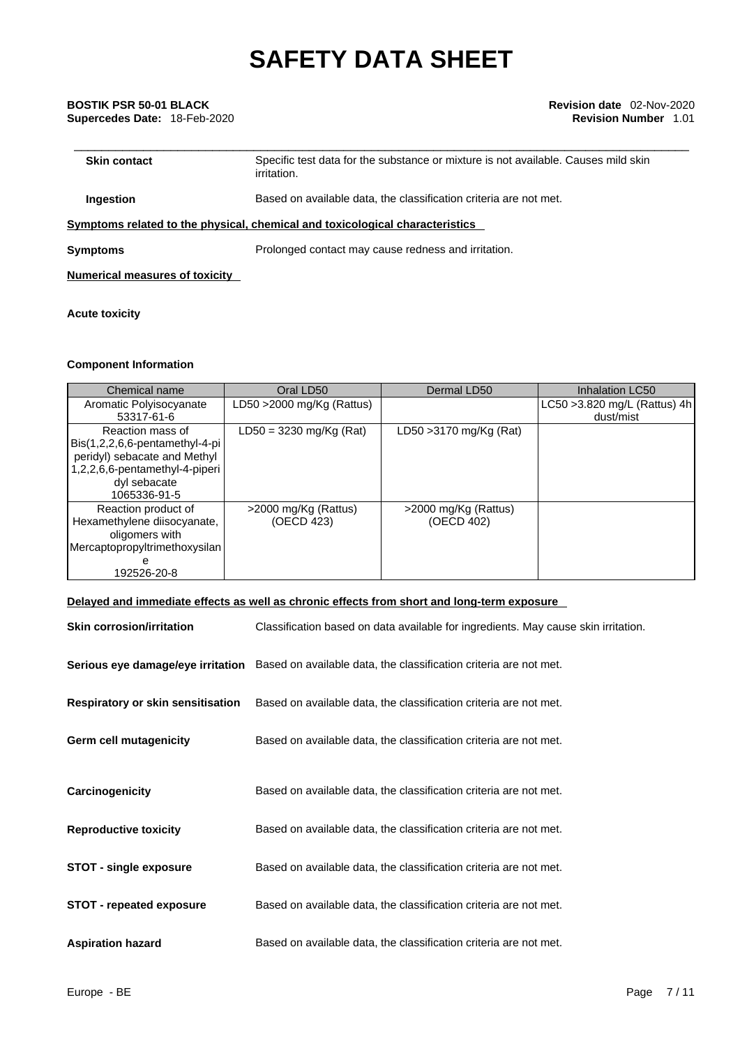# \_\_\_\_\_\_\_\_\_\_\_\_\_\_\_\_\_\_\_\_\_\_\_\_\_\_\_\_\_\_\_\_\_\_\_\_\_\_\_\_\_\_\_\_\_\_\_\_\_\_\_\_\_\_\_\_\_\_\_\_\_\_\_\_\_\_\_\_\_\_\_\_\_\_\_\_\_\_\_\_\_\_\_\_\_\_\_\_\_ **BOSTIK PSR 50-01 BLACK Revision date** 02-Nov-2020 **Supercedes Date:** 18-Feb-2020 **Revision Number** 1.01

| <b>Skin contact</b> | Specific test data for the substance or mixture is not available. Causes mild skin<br>irritation. |
|---------------------|---------------------------------------------------------------------------------------------------|
| Ingestion           | Based on available data, the classification criteria are not met.                                 |
|                     |                                                                                                   |

**<u>Symptoms related to the physical, chemical and toxicological characteristics</u>** 

**Symptoms Prolonged contact may cause redness and irritation.** 

# **Numerical measures of toxicity**

# **Acute toxicity**

# **Component Information**

| Chemical name                                                                                                                                        | Oral LD50                          | Dermal LD50                        | <b>Inhalation LC50</b>                     |
|------------------------------------------------------------------------------------------------------------------------------------------------------|------------------------------------|------------------------------------|--------------------------------------------|
| Aromatic Polyisocyanate<br>53317-61-6                                                                                                                | LD50 $>$ 2000 mg/Kg (Rattus)       |                                    | LC50 > 3.820 mg/L (Rattus) 4h<br>dust/mist |
| Reaction mass of<br>Bis(1,2,2,6,6-pentamethyl-4-pi<br>peridyl) sebacate and Methyl<br>1,2,2,6,6-pentamethyl-4-piperi<br>dyl sebacate<br>1065336-91-5 | $LD50 = 3230$ mg/Kg (Rat)          | LD50 > 3170 mg/Kg (Rat)            |                                            |
| Reaction product of<br>Hexamethylene diisocyanate,<br>oligomers with<br>Mercaptopropyltrimethoxysilan<br>192526-20-8                                 | >2000 mg/Kg (Rattus)<br>(OECD 423) | >2000 mg/Kg (Rattus)<br>(OECD 402) |                                            |

# **Delayed and immediate effects as well as chronic effects from short and long-term exposure**

| <b>Skin corrosion/irritation</b>         | Classification based on data available for ingredients. May cause skin irritation.                  |
|------------------------------------------|-----------------------------------------------------------------------------------------------------|
|                                          | Serious eye damage/eye irritation Based on available data, the classification criteria are not met. |
| <b>Respiratory or skin sensitisation</b> | Based on available data, the classification criteria are not met.                                   |
| Germ cell mutagenicity                   | Based on available data, the classification criteria are not met.                                   |
| Carcinogenicity                          | Based on available data, the classification criteria are not met.                                   |
| <b>Reproductive toxicity</b>             | Based on available data, the classification criteria are not met.                                   |
| <b>STOT - single exposure</b>            | Based on available data, the classification criteria are not met.                                   |
| <b>STOT - repeated exposure</b>          | Based on available data, the classification criteria are not met.                                   |
| <b>Aspiration hazard</b>                 | Based on available data, the classification criteria are not met.                                   |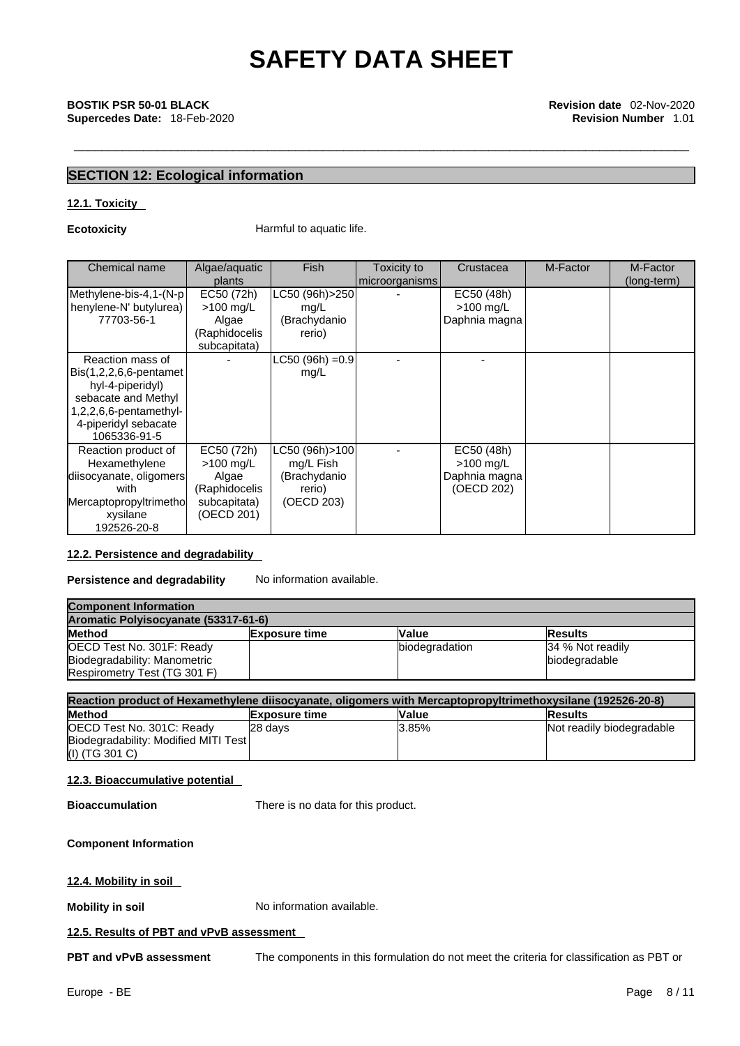# \_\_\_\_\_\_\_\_\_\_\_\_\_\_\_\_\_\_\_\_\_\_\_\_\_\_\_\_\_\_\_\_\_\_\_\_\_\_\_\_\_\_\_\_\_\_\_\_\_\_\_\_\_\_\_\_\_\_\_\_\_\_\_\_\_\_\_\_\_\_\_\_\_\_\_\_\_\_\_\_\_\_\_\_\_\_\_\_\_ **BOSTIK PSR 50-01 BLACK Revision date** 02-Nov-2020 **Supercedes Date:** 18-Feb-2020 **Revision Number** 1.01

# **SECTION 12: Ecological information**

# **12.1. Toxicity**

**Ecotoxicity Harmful to aquatic life.** 

| Chemical name             | Algae/aquatic | <b>Fish</b>      | Toxicity to    | Crustacea     | M-Factor | M-Factor    |  |
|---------------------------|---------------|------------------|----------------|---------------|----------|-------------|--|
|                           | plants        |                  | microorganisms |               |          | (long-term) |  |
| Methylene-bis-4,1-(N-p    | EC50 (72h)    | LC50 (96h)>250   |                | EC50 (48h)    |          |             |  |
| henylene-N' butylurea)    | $>100$ mg/L   | mg/L             |                | $>100$ mg/L   |          |             |  |
| 77703-56-1                | Algae         | (Brachydanio     |                | Daphnia magna |          |             |  |
|                           | (Raphidocelis | rerio)           |                |               |          |             |  |
|                           | subcapitata)  |                  |                |               |          |             |  |
| Reaction mass of          |               | LC50 (96h) = 0.9 |                |               |          |             |  |
| $Bis(1,2,2,6,6-pentamet)$ |               | mg/L             |                |               |          |             |  |
| hyl-4-piperidyl)          |               |                  |                |               |          |             |  |
| sebacate and Methyl       |               |                  |                |               |          |             |  |
| $1,2,2,6,6$ -pentamethyl- |               |                  |                |               |          |             |  |
| 4-piperidyl sebacate      |               |                  |                |               |          |             |  |
| 1065336-91-5              |               |                  |                |               |          |             |  |
| Reaction product of       | EC50 (72h)    | LC50 (96h)>100   |                | EC50 (48h)    |          |             |  |
| Hexamethylene             | $>100$ mg/L   | mg/L Fish        |                | $>100$ mg/L   |          |             |  |
| diisocyanate, oligomers   | Algae         | (Brachydanio     |                | Daphnia magna |          |             |  |
| with                      | (Raphidocelis | rerio)           |                | (OECD 202)    |          |             |  |
| Mercaptopropyltrimethol   | subcapitata)  | (OECD 203)       |                |               |          |             |  |
| xysilane                  | (OECD 201)    |                  |                |               |          |             |  |
| 192526-20-8               |               |                  |                |               |          |             |  |

# **12.2. Persistence and degradability**

**Persistence and degradability** No information available.

| <b>Component Information</b><br>Aromatic Polyisocyanate (53317-61-6) |  |                |                  |  |
|----------------------------------------------------------------------|--|----------------|------------------|--|
|                                                                      |  |                |                  |  |
| OECD Test No. 301F: Ready                                            |  | biodegradation | 34 % Not readily |  |
| Biodegradability: Manometric                                         |  |                | biodegradable    |  |
| Respirometry Test (TG 301 F)                                         |  |                |                  |  |

| Reaction product of Hexamethylene diisocyanate, oligomers with Mercaptopropyltrimethoxysilane (192526-20-8) |                      |              |                           |  |
|-------------------------------------------------------------------------------------------------------------|----------------------|--------------|---------------------------|--|
| <b>Method</b>                                                                                               | <b>Exposure time</b> | <b>Value</b> | <b>Results</b>            |  |
| <b>OECD Test No. 301C: Ready</b>                                                                            | 28 days              | 3.85%        | Not readily biodegradable |  |
| Biodegradability: Modified MITI Test                                                                        |                      |              |                           |  |
| (I) (TG 301 C)                                                                                              |                      |              |                           |  |

# **12.3. Bioaccumulative potential**

**Bioaccumulation** There is no data for this product.

### **Component Information**

**12.4. Mobility in soil** 

**Mobility in soil** No information available.

## **12.5. Results of PBT and vPvB assessment**

**PBT and vPvB assessment** The components in this formulation do not meet the criteria for classification as PBT or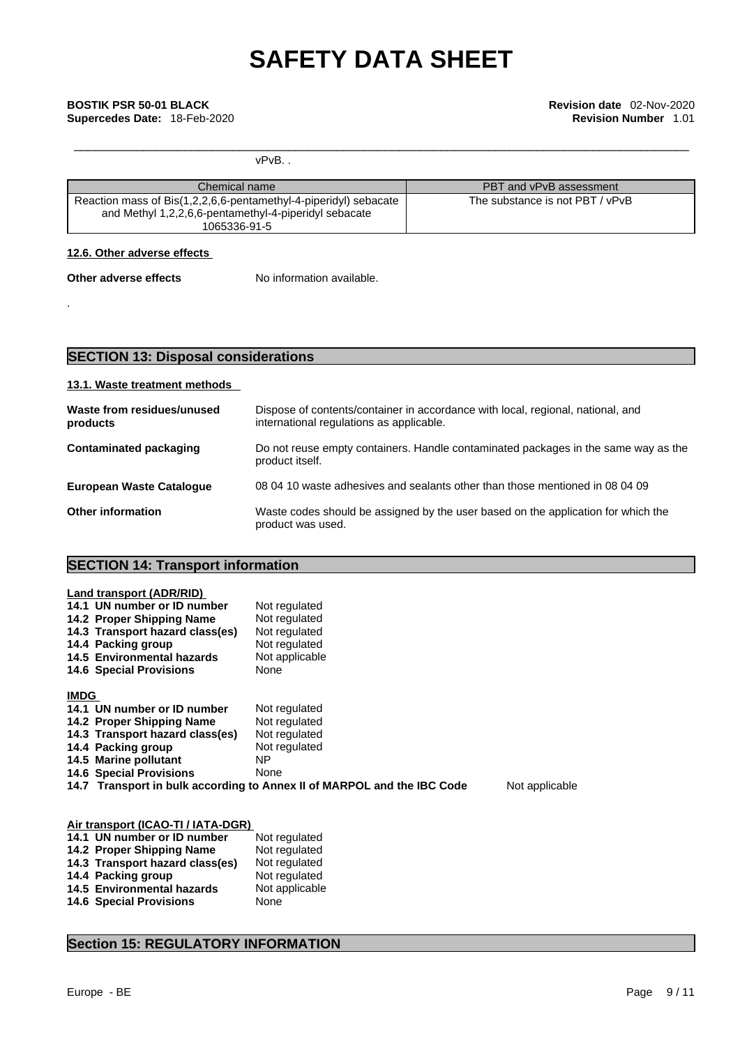vPvB. .

| Chemical name                                                                                                                             | PBT and vPvB assessment         |
|-------------------------------------------------------------------------------------------------------------------------------------------|---------------------------------|
| Reaction mass of Bis(1,2,2,6,6-pentamethyl-4-piperidyl) sebacate<br>and Methyl 1,2,2,6,6-pentamethyl-4-piperidyl sebacate<br>1065336-91-5 | The substance is not PBT / vPvB |

# **12.6. Other adverse effects**

- **Other adverse effects** No information available.
	-

.

**SECTION 13: Disposal considerations** 

# **13.1. Waste treatment methods**

| Waste from residues/unused<br>products | Dispose of contents/container in accordance with local, regional, national, and<br>international regulations as applicable. |
|----------------------------------------|-----------------------------------------------------------------------------------------------------------------------------|
| Contaminated packaging                 | Do not reuse empty containers. Handle contaminated packages in the same way as the<br>product itself.                       |
| <b>European Waste Catalogue</b>        | 08 04 10 waste adhesives and sealants other than those mentioned in 08 04 09                                                |
| <b>Other information</b>               | Waste codes should be assigned by the user based on the application for which the<br>product was used.                      |

# **SECTION 14: Transport information**

| Land transport (ADR/RID)        |                                                                         |                |
|---------------------------------|-------------------------------------------------------------------------|----------------|
| 14.1 UN number or ID number     | Not regulated                                                           |                |
| 14.2 Proper Shipping Name       | Not regulated                                                           |                |
| 14.3 Transport hazard class(es) | Not regulated                                                           |                |
| 14.4 Packing group              | Not regulated                                                           |                |
| 14.5 Environmental hazards      | Not applicable                                                          |                |
| <b>14.6 Special Provisions</b>  | None                                                                    |                |
|                                 |                                                                         |                |
| <b>IMDG</b>                     |                                                                         |                |
| 14.1 UN number or ID number     | Not regulated                                                           |                |
| 14.2 Proper Shipping Name       | Not regulated                                                           |                |
| 14.3 Transport hazard class(es) | Not regulated                                                           |                |
| 14.4 Packing group              | Not regulated                                                           |                |
| 14.5 Marine pollutant           | ΝP                                                                      |                |
| <b>14.6 Special Provisions</b>  | None                                                                    |                |
|                                 | 14.7 Transport in bulk according to Annex II of MARPOL and the IBC Code | Not applicable |
|                                 |                                                                         |                |
|                                 |                                                                         |                |

| Air transport (ICAO-TI / IATA-DGR) |                |
|------------------------------------|----------------|
| 14.1 UN number or ID number        | Not regulated  |
| 14.2 Proper Shipping Name          | Not regulated  |
| 14.3 Transport hazard class(es)    | Not regulated  |
| 14.4 Packing group                 | Not regulated  |
| 14.5 Environmental hazards         | Not applicable |
| <b>14.6 Special Provisions</b>     | None           |

# **Section 15: REGULATORY INFORMATION**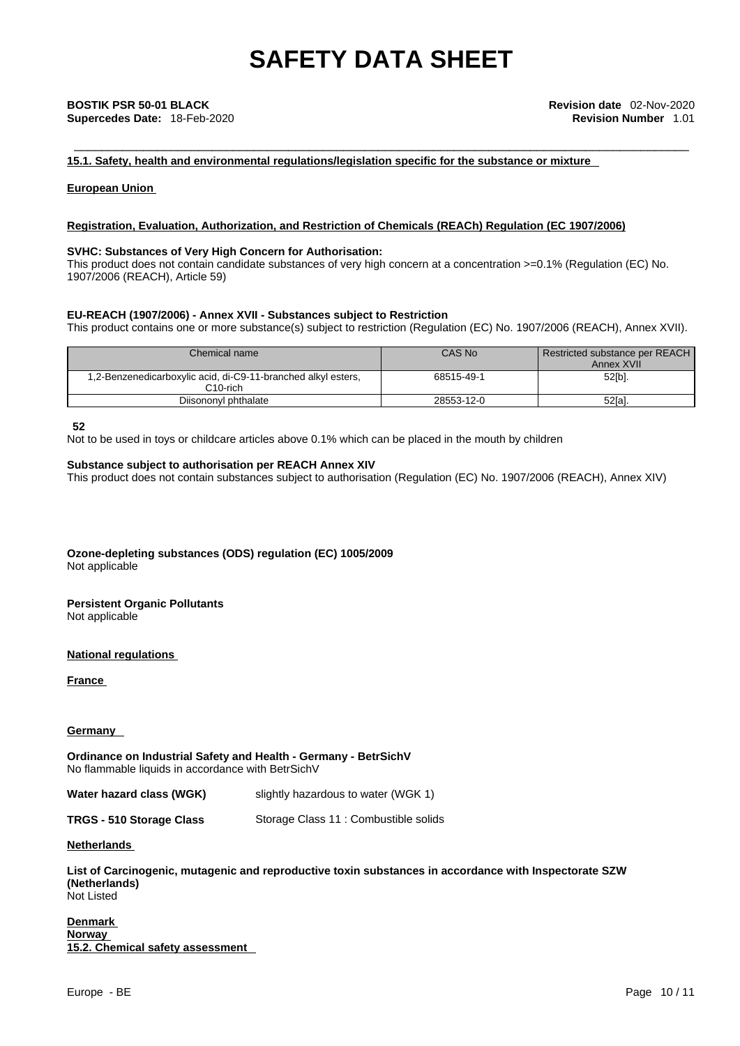**15.1. Safety, health and environmental regulations/legislation specific for the substance or mixture**

**European Union** 

## **Registration, Evaluation, Authorization, and Restriction of Chemicals (REACh) Regulation (EC 1907/2006)**

# **SVHC: Substances of Very High Concern for Authorisation:**

This product does not contain candidate substances of very high concern at a concentration >=0.1% (Regulation (EC) No. 1907/2006 (REACH), Article 59)

## **EU-REACH (1907/2006) - Annex XVII - Substances subject to Restriction**

This product contains one or more substance(s) subject to restriction (Regulation (EC) No. 1907/2006 (REACH), Annex XVII).

| Chemical name                                                                          | CAS No     | Restricted substance per REACH<br>Annex XVII |
|----------------------------------------------------------------------------------------|------------|----------------------------------------------|
| 1,2-Benzenedicarboxylic acid, di-C9-11-branched alkyl esters,<br>C <sub>10</sub> -rich | 68515-49-1 | 52[b].                                       |
| Diisononyl phthalate                                                                   | 28553-12-0 | 52[a].                                       |

**52**

Not to be used in toys or childcare articles above 0.1% which can be placed in the mouth by children

### **Substance subject to authorisation per REACH Annex XIV**

This product does not contain substances subject to authorisation (Regulation (EC) No. 1907/2006 (REACH), Annex XIV)

**Ozone-depleting substances (ODS) regulation (EC) 1005/2009** Not applicable

**Persistent Organic Pollutants** Not applicable

**National regulations**

**France** 

## **Germany**

**Ordinance on Industrial Safety and Health - Germany - BetrSichV** No flammable liquids in accordance with BetrSichV

### **Water hazard class (WGK)** slightly hazardous to water (WGK 1)

**TRGS - 510 Storage Class** Storage Class 11 : Combustible solids

**Netherlands** 

**List of Carcinogenic, mutagenic and reproductive toxin substances in accordance with Inspectorate SZW (Netherlands)** Not Listed

**Denmark Norway 15.2. Chemical safety assessment**